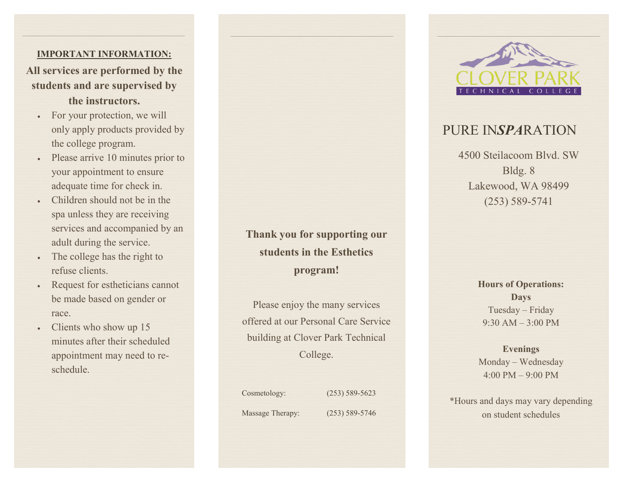### **IMPORTANT INFORMATION:**

**All services are performed by the students and are supervised by the instructors.**

- For your protection, we will only apply products provided by the college program.
- Please arrive 10 minutes prior to your appointment to ensure adequate time for check in.
- Children should not be in the spa unless they are receiving services and accompanied by an adult during the service.
- The college has the right to refuse clients.
- Request for estheticians cannot be made based on gender or race.
- Clients who show up 15 minutes after their scheduled appointment may need to reschedule.

**Thank you for supporting our students in the Esthetics program!** 

Please enjoy the many services offered at our Personal Care Service building at Clover Park Technical College.

Cosmetology: (253) 589-5623 Massage Therapy: (253) 589-5746



**Days** Tuesday – Friday 9:30 AM – 3:00 PM

**Evenings** Monday – Wednesday  $4:00 \text{ PM} - 9:00 \text{ PM}$ 

\*Hours and days may vary depending on student schedules



# PURE IN*SPA*RATION

4500 Steilacoom Blvd. SW Bldg. 8 Lakewood, WA 98499 (253) 589-5741